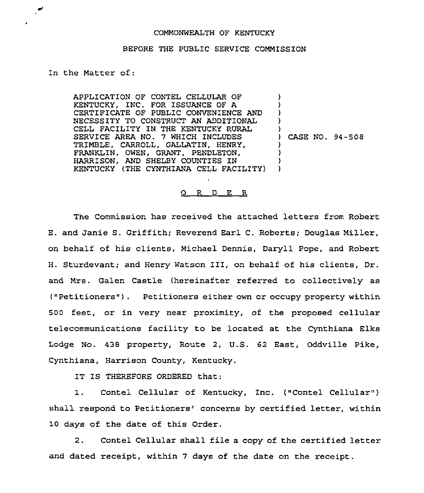## COMMONWEALTH OF KENTUCKY

## BEFORE THE PUBLIC SERVICE COMMISSION

## In the Matter of:

APPLICATION OF CONTEL CELLULAR OF KENTUCKY, INC. FOR ISSUANCE OF A CERTIFICATE OF PUBLIC CONVENIENCE AND NECESSITY TO CONSTRUCT AN ADDITIONAL CELL FACILITY IN THE KENTUCKY RURAL SERVICE AREA NO. 7 WHICH INCLUDES TRIMBLE, CARROLL, GALLATIN, HENRY, FRANKLIN, OWEN, GRANT, PENDLETON, HARRISON, AND SHELBY COUNTIES IN KENTUCKY (THE CYNTHIANA CELL FACILITY) ) ) ) ) ) ) CASE NO. 94-508 ) ) ) )

## 0 R <sup>D</sup> E R

The Commission has received the attached letters from Robert E. and Janie S. Griffith; Reverend Earl C. Roberts; Douglas Miller, on behalf of his clients, Michael Dennis, Daryll Pope, and Robert H. Sturdevant; and Henry Watson III, on behalf of his clients, Dr. and Mrs. Galen Castle (hereinafter referred to collectively as ("Petitioners"). Petitioners either own or occupy property within 500 feet, or in very near proximity, of the proposed cellular telecommunications facility to be located at the Cynthiana Elks Lodge No. 438 property, Route 2, U.S. 62 East, Oddville Pike, Cynthiana, Harrison County, Kentucky.

IT IS THEREFORE ORDERED that:

1. Contel Cellular of Kentucky, Inc. ("Contel Cellular") shall respond to Petitioners' concerns by certified letter, within 10 days of the date of this Order.

2. Contel Cellular shall file a copy of the certified letter and dated receipt, within 7 days of the date on the receipt.